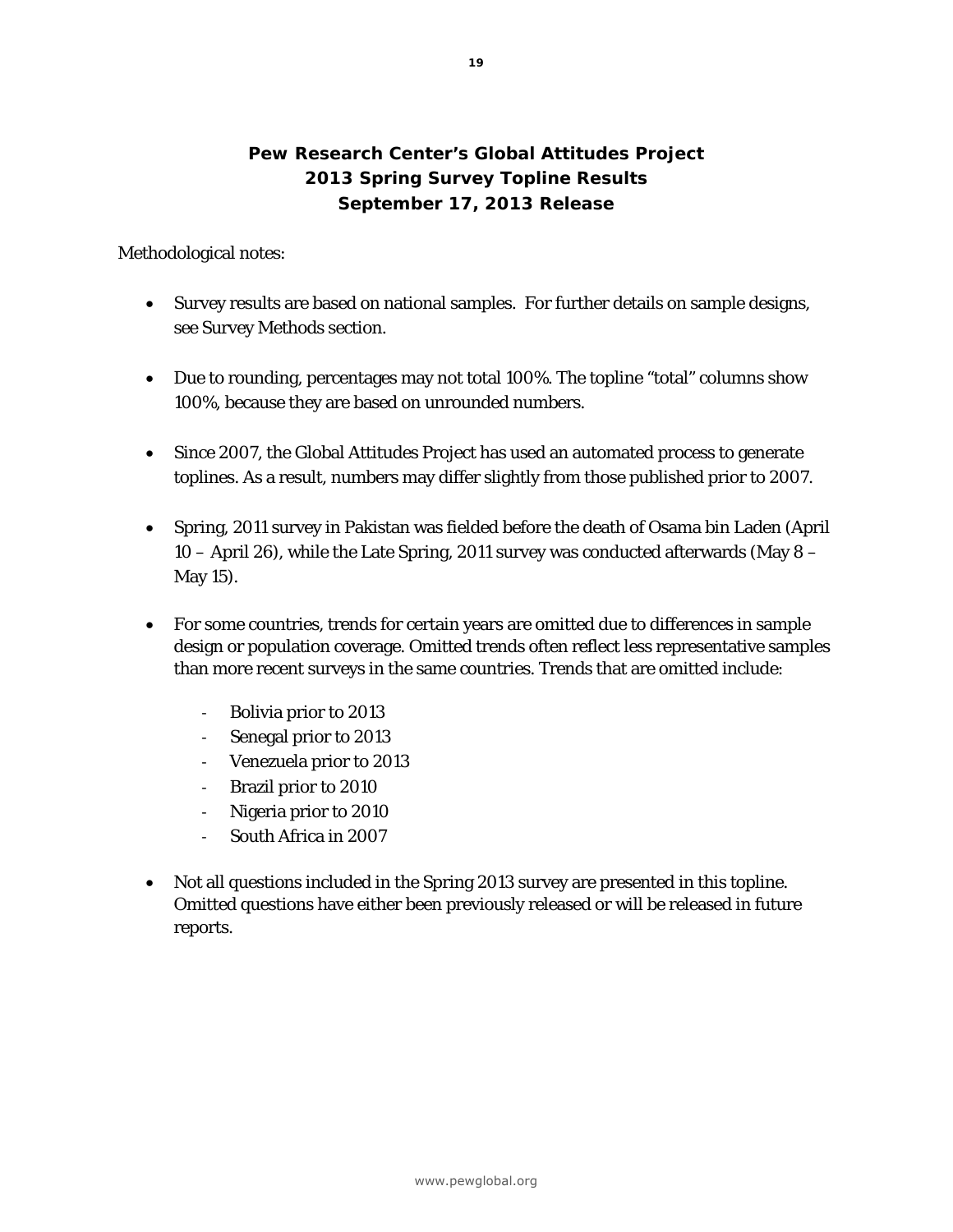## **Pew Research Center's Global Attitudes Project 2013 Spring Survey Topline Results September 17, 2013 Release**

Methodological notes:

- Survey results are based on national samples. For further details on sample designs, see Survey Methods section.
- Due to rounding, percentages may not total 100%. The topline "total" columns show 100%, because they are based on unrounded numbers.
- Since 2007, the Global Attitudes Project has used an automated process to generate toplines. As a result, numbers may differ slightly from those published prior to 2007.
- Spring, 2011 survey in Pakistan was fielded before the death of Osama bin Laden (April 10 – April 26), while the Late Spring, 2011 survey was conducted afterwards (May 8 – May 15).
- For some countries, trends for certain years are omitted due to differences in sample design or population coverage. Omitted trends often reflect less representative samples than more recent surveys in the same countries. Trends that are omitted include:
	- ‐ Bolivia prior to 2013
	- ‐ Senegal prior to 2013
	- ‐ Venezuela prior to 2013
	- ‐ Brazil prior to 2010
	- ‐ Nigeria prior to 2010
	- ‐ South Africa in 2007
- Not all questions included in the Spring 2013 survey are presented in this topline. Omitted questions have either been previously released or will be released in future reports.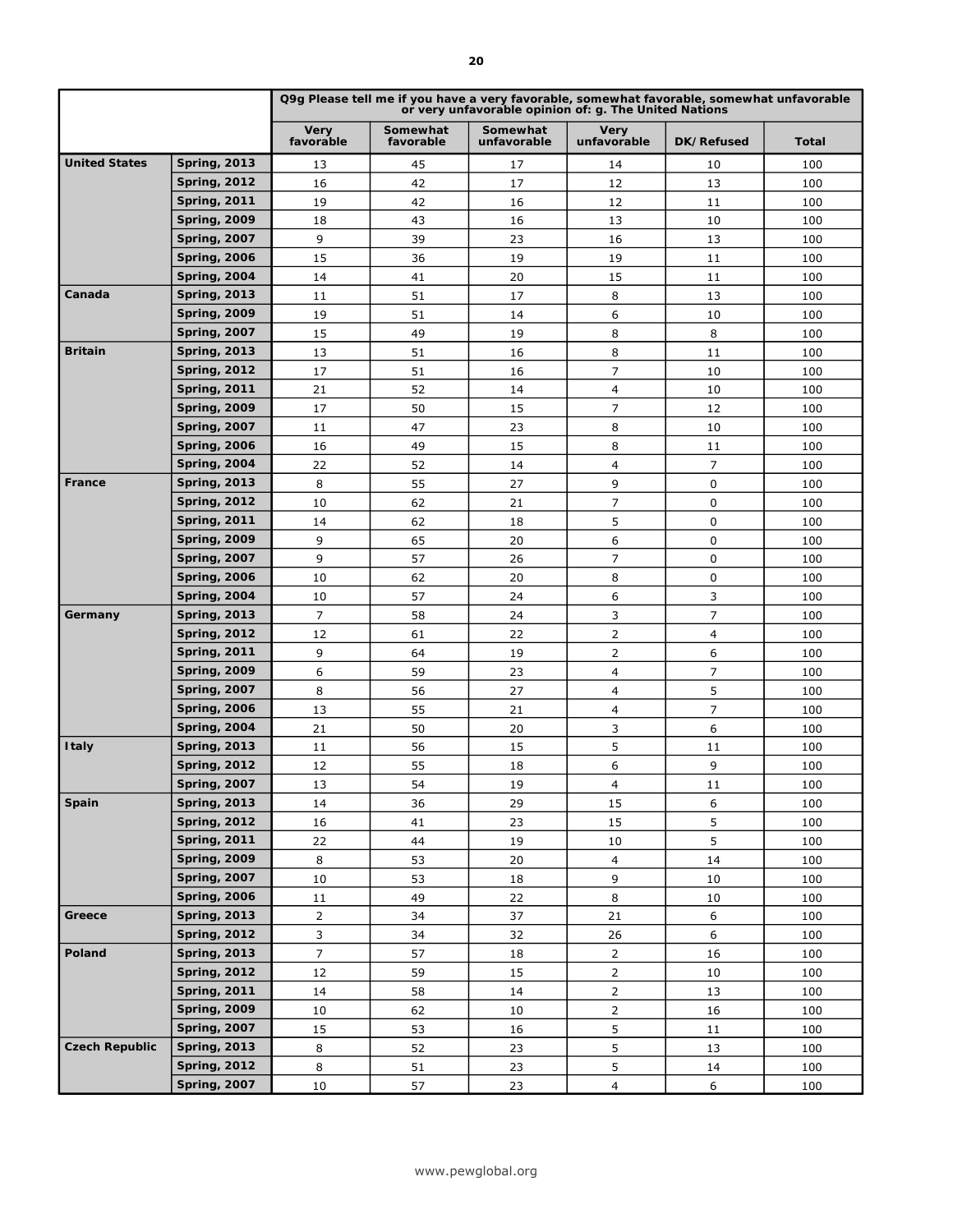|                       |                                            | Q9g Please tell me if you have a very favorable, somewhat favorable, somewhat unfavorable<br>or very unfavorable opinion of: g. The United Nations |                       |                         |                            |                |              |  |
|-----------------------|--------------------------------------------|----------------------------------------------------------------------------------------------------------------------------------------------------|-----------------------|-------------------------|----------------------------|----------------|--------------|--|
|                       |                                            | Very<br>favorable                                                                                                                                  | Somewhat<br>favorable | Somewhat<br>unfavorable | <b>Very</b><br>unfavorable | DK/Refused     | <b>Total</b> |  |
| <b>United States</b>  | <b>Spring, 2013</b>                        | 13                                                                                                                                                 | 45                    | 17                      | 14                         | 10             | 100          |  |
|                       | <b>Spring, 2012</b>                        | 16                                                                                                                                                 | 42                    | 17                      | 12                         | 13             | 100          |  |
|                       | <b>Spring, 2011</b>                        | 19                                                                                                                                                 | 42                    | 16                      | 12                         | 11             | 100          |  |
|                       | <b>Spring, 2009</b>                        | 18                                                                                                                                                 | 43                    | 16                      | 13                         | 10             | 100          |  |
|                       | <b>Spring, 2007</b>                        | 9                                                                                                                                                  | 39                    | 23                      | 16                         | 13             | 100          |  |
|                       | <b>Spring, 2006</b>                        | 15                                                                                                                                                 | 36                    | 19                      | 19                         | 11             | 100          |  |
|                       | <b>Spring, 2004</b>                        | 14                                                                                                                                                 | 41                    | 20                      | 15                         | 11             | 100          |  |
| Canada                | <b>Spring, 2013</b>                        | 11                                                                                                                                                 | 51                    | 17                      | 8                          | 13             | 100          |  |
|                       | <b>Spring, 2009</b>                        | 19                                                                                                                                                 | 51                    | 14                      | 6                          | 10             | 100          |  |
|                       | <b>Spring, 2007</b>                        | 15                                                                                                                                                 | 49                    | 19                      | 8                          | 8              | 100          |  |
| <b>Britain</b>        | <b>Spring, 2013</b>                        | 13                                                                                                                                                 | 51                    | 16                      | 8                          | 11             | 100          |  |
|                       | <b>Spring, 2012</b>                        | 17                                                                                                                                                 | 51                    | 16                      | 7                          | 10             | 100          |  |
|                       | <b>Spring, 2011</b>                        | 21                                                                                                                                                 | 52                    | 14                      | 4                          | 10             | 100          |  |
|                       | <b>Spring, 2009</b>                        | 17                                                                                                                                                 | 50                    | 15                      | 7                          | 12             | 100          |  |
|                       | <b>Spring, 2007</b>                        | 11                                                                                                                                                 | 47                    | 23                      | 8                          | 10             | 100          |  |
|                       | <b>Spring, 2006</b>                        | 16                                                                                                                                                 | 49                    | 15                      | 8                          | 11             | 100          |  |
|                       | <b>Spring, 2004</b>                        | 22                                                                                                                                                 | 52                    | 14                      | 4                          | $\overline{7}$ | 100          |  |
| <b>France</b>         | <b>Spring, 2013</b>                        | 8                                                                                                                                                  | 55                    | 27                      | 9                          | 0              | 100          |  |
|                       | <b>Spring, 2012</b>                        | 10                                                                                                                                                 | 62                    | 21                      | $\overline{7}$             | 0              | 100          |  |
|                       | <b>Spring, 2011</b>                        | 14                                                                                                                                                 | 62                    | 18                      | 5                          | 0              | 100          |  |
|                       | <b>Spring, 2009</b>                        | 9                                                                                                                                                  | 65                    | 20                      | 6                          | 0              | 100          |  |
|                       | <b>Spring, 2007</b>                        | 9                                                                                                                                                  | 57                    | 26                      | 7                          | 0              | 100          |  |
|                       | <b>Spring, 2006</b>                        | 10                                                                                                                                                 | 62                    | 20                      | 8                          | 0              | 100          |  |
|                       | <b>Spring, 2004</b>                        | 10                                                                                                                                                 | 57                    | 24                      | 6                          | 3              | 100          |  |
| Germany               | <b>Spring, 2013</b>                        | 7                                                                                                                                                  | 58                    | 24                      | 3                          | $\overline{7}$ | 100          |  |
|                       | <b>Spring, 2012</b>                        | 12                                                                                                                                                 | 61                    | 22                      | 2                          | $\overline{4}$ | 100          |  |
|                       | <b>Spring, 2011</b>                        | 9                                                                                                                                                  | 64                    | 19                      | $\overline{2}$             | 6              | 100          |  |
|                       | <b>Spring, 2009</b>                        | 6                                                                                                                                                  | 59                    | 23                      | 4                          | 7              | 100          |  |
|                       | <b>Spring, 2007</b>                        | 8                                                                                                                                                  | 56                    | 27                      | $\overline{4}$             | 5              | 100          |  |
|                       | <b>Spring, 2006</b>                        | 13                                                                                                                                                 | 55                    | 21                      | 4                          | $\overline{7}$ | 100          |  |
|                       | <b>Spring, 2004</b>                        | 21                                                                                                                                                 | 50                    | 20                      | 3                          | 6              | 100          |  |
| <b>Italy</b>          | <b>Spring, 2013</b>                        | 11                                                                                                                                                 | 56                    | 15                      | 5                          | 11             | 100          |  |
|                       | <b>Spring, 2012</b>                        | 12                                                                                                                                                 | 55                    | 18                      | 6                          | 9              | 100          |  |
|                       | <b>Spring, 2007</b>                        | 13                                                                                                                                                 | 54                    | 19                      | 4                          | 11             | 100          |  |
| Spain                 | <b>Spring, 2013</b>                        | 14                                                                                                                                                 | 36                    | 29                      | 15                         | 6              | 100          |  |
|                       | <b>Spring, 2012</b>                        | 16                                                                                                                                                 | 41                    | 23                      | 15                         | 5              | 100          |  |
|                       | <b>Spring, 2011</b>                        | 22                                                                                                                                                 | 44                    | 19                      | 10                         | 5              | 100          |  |
|                       | <b>Spring, 2009</b>                        | 8                                                                                                                                                  | 53                    | 20                      | $\overline{4}$             | 14             | 100          |  |
|                       | <b>Spring, 2007</b>                        | 10                                                                                                                                                 | 53                    | 18                      | 9                          | 10             | 100          |  |
|                       | <b>Spring, 2006</b>                        | 11                                                                                                                                                 | 49                    | 22                      | 8                          | 10             | 100          |  |
| Greece                | <b>Spring, 2013</b>                        | $\overline{2}$                                                                                                                                     | 34                    | 37                      | 21                         | 6              | 100          |  |
|                       | <b>Spring, 2012</b>                        | 3                                                                                                                                                  | 34                    | 32                      | 26                         | 6              | 100          |  |
| Poland                | <b>Spring, 2013</b>                        | 7                                                                                                                                                  | 57                    | 18                      | $\overline{2}$             | 16             | 100          |  |
|                       | <b>Spring, 2012</b>                        | 12                                                                                                                                                 | 59                    | 15                      | $\overline{2}$             | 10             | 100          |  |
|                       | <b>Spring, 2011</b>                        | 14                                                                                                                                                 | 58                    | 14                      | $\overline{2}$             | 13             | 100          |  |
|                       | <b>Spring, 2009</b>                        | 10                                                                                                                                                 | 62                    | 10                      | $\overline{2}$             | 16             | 100          |  |
|                       | <b>Spring, 2007</b>                        | 15                                                                                                                                                 | 53                    | 16                      | 5                          | 11             | 100          |  |
| <b>Czech Republic</b> | <b>Spring, 2013</b><br><b>Spring, 2012</b> | 8<br>8                                                                                                                                             | 52<br>51              | 23                      | 5<br>5                     | 13             | 100<br>100   |  |
|                       | <b>Spring, 2007</b>                        | 10                                                                                                                                                 | 57                    | 23<br>23                | $\overline{4}$             | 14<br>6        | 100          |  |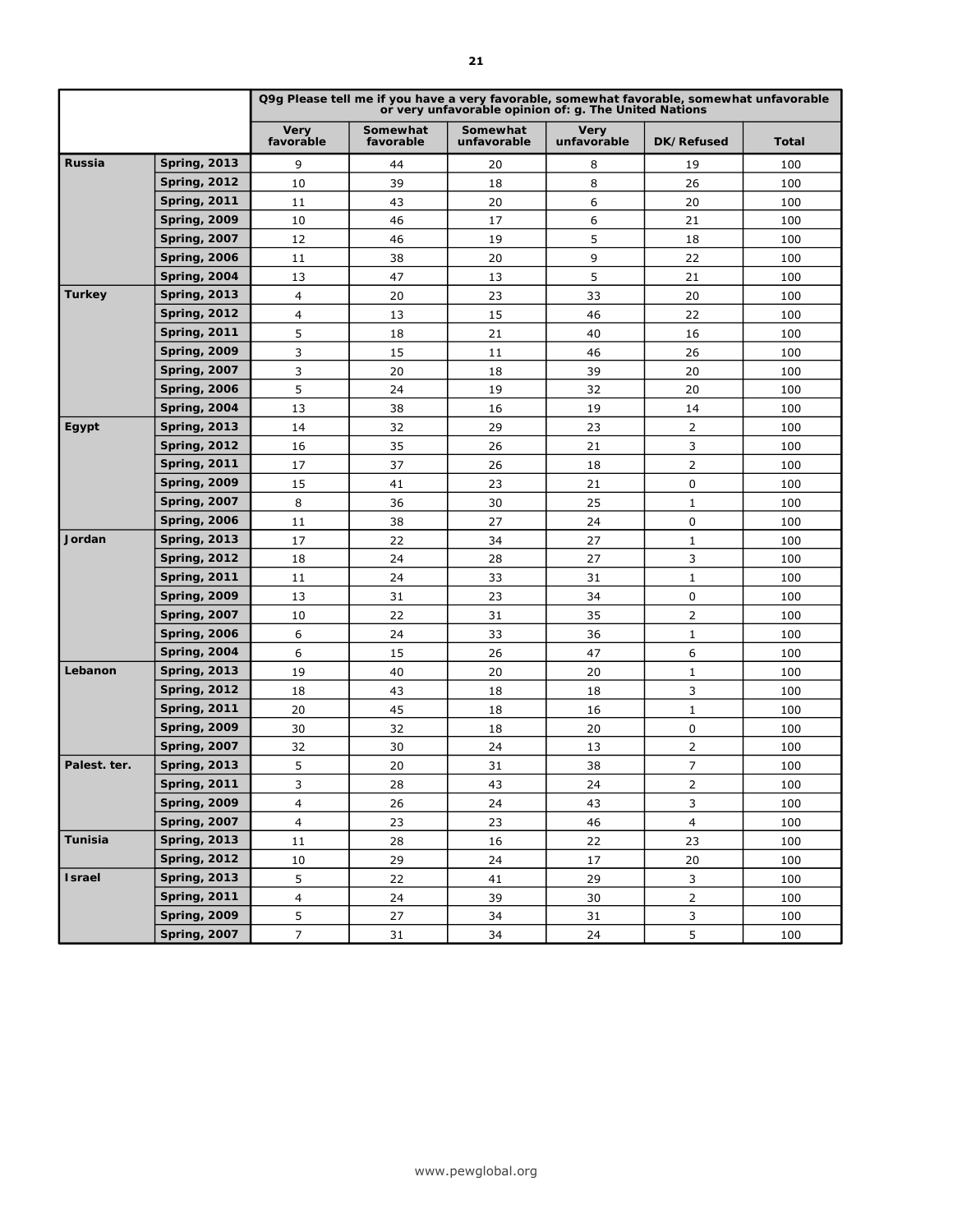|                |                     | Q9g Please tell me if you have a very favorable, somewhat favorable, somewhat unfavorable<br>or very unfavorable opinion of: g. The United Nations |                       |                         |                     |                |       |  |
|----------------|---------------------|----------------------------------------------------------------------------------------------------------------------------------------------------|-----------------------|-------------------------|---------------------|----------------|-------|--|
|                |                     | Very<br>favorable                                                                                                                                  | Somewhat<br>favorable | Somewhat<br>unfavorable | Very<br>unfavorable | DK/Refused     | Total |  |
| Russia         | <b>Spring, 2013</b> | 9                                                                                                                                                  | 44                    | 20                      | 8                   | 19             | 100   |  |
|                | <b>Spring, 2012</b> | 10                                                                                                                                                 | 39                    | 18                      | 8                   | 26             | 100   |  |
|                | <b>Spring, 2011</b> | 11                                                                                                                                                 | 43                    | 20                      | 6                   | 20             | 100   |  |
|                | <b>Spring, 2009</b> | 10                                                                                                                                                 | 46                    | 17                      | 6                   | 21             | 100   |  |
|                | <b>Spring, 2007</b> | 12                                                                                                                                                 | 46                    | 19                      | 5                   | 18             | 100   |  |
|                | <b>Spring, 2006</b> | 11                                                                                                                                                 | 38                    | 20                      | 9                   | 22             | 100   |  |
|                | <b>Spring, 2004</b> | 13                                                                                                                                                 | 47                    | 13                      | 5                   | 21             | 100   |  |
| <b>Turkey</b>  | <b>Spring, 2013</b> | 4                                                                                                                                                  | 20                    | 23                      | 33                  | 20             | 100   |  |
|                | <b>Spring, 2012</b> | 4                                                                                                                                                  | 13                    | 15                      | 46                  | 22             | 100   |  |
|                | <b>Spring, 2011</b> | 5                                                                                                                                                  | 18                    | 21                      | 40                  | 16             | 100   |  |
|                | <b>Spring, 2009</b> | 3                                                                                                                                                  | 15                    | 11                      | 46                  | 26             | 100   |  |
|                | <b>Spring, 2007</b> | 3                                                                                                                                                  | 20                    | 18                      | 39                  | 20             | 100   |  |
|                | <b>Spring, 2006</b> | 5                                                                                                                                                  | 24                    | 19                      | 32                  | 20             | 100   |  |
|                | <b>Spring, 2004</b> | 13                                                                                                                                                 | 38                    | 16                      | 19                  | 14             | 100   |  |
| Egypt          | <b>Spring, 2013</b> | 14                                                                                                                                                 | 32                    | 29                      | 23                  | 2              | 100   |  |
|                | <b>Spring, 2012</b> | 16                                                                                                                                                 | 35                    | 26                      | 21                  | 3              | 100   |  |
|                | <b>Spring, 2011</b> | 17                                                                                                                                                 | 37                    | 26                      | 18                  | 2              | 100   |  |
|                | <b>Spring, 2009</b> | 15                                                                                                                                                 | 41                    | 23                      | 21                  | 0              | 100   |  |
|                | <b>Spring, 2007</b> | 8                                                                                                                                                  | 36                    | 30                      | 25                  | $\mathbf{1}$   | 100   |  |
|                | <b>Spring, 2006</b> | 11                                                                                                                                                 | 38                    | 27                      | 24                  | 0              | 100   |  |
| Jordan         | <b>Spring, 2013</b> | 17                                                                                                                                                 | 22                    | 34                      | 27                  | 1              | 100   |  |
|                | <b>Spring, 2012</b> | 18                                                                                                                                                 | 24                    | 28                      | 27                  | 3              | 100   |  |
|                | <b>Spring, 2011</b> | 11                                                                                                                                                 | 24                    | 33                      | 31                  | $\mathbf 1$    | 100   |  |
|                | <b>Spring, 2009</b> | 13                                                                                                                                                 | 31                    | 23                      | 34                  | 0              | 100   |  |
|                | <b>Spring, 2007</b> | 10                                                                                                                                                 | 22                    | 31                      | 35                  | 2              | 100   |  |
|                | <b>Spring, 2006</b> | 6                                                                                                                                                  | 24                    | 33                      | 36                  | $\mathbf{1}$   | 100   |  |
|                | <b>Spring, 2004</b> | 6                                                                                                                                                  | 15                    | 26                      | 47                  | 6              | 100   |  |
| Lebanon        | <b>Spring, 2013</b> | 19                                                                                                                                                 | 40                    | 20                      | 20                  | $\mathbf 1$    | 100   |  |
|                | <b>Spring, 2012</b> | 18                                                                                                                                                 | 43                    | 18                      | 18                  | 3              | 100   |  |
|                | <b>Spring, 2011</b> | 20                                                                                                                                                 | 45                    | 18                      | 16                  | $\mathbf 1$    | 100   |  |
|                | <b>Spring, 2009</b> | 30                                                                                                                                                 | 32                    | 18                      | 20                  | 0              | 100   |  |
|                | <b>Spring, 2007</b> | 32                                                                                                                                                 | 30                    | 24                      | 13                  | 2              | 100   |  |
| Palest. ter.   | <b>Spring, 2013</b> | 5                                                                                                                                                  | 20                    | 31                      | 38                  | 7              | 100   |  |
|                | <b>Spring, 2011</b> | 3                                                                                                                                                  | 28                    | 43                      | 24                  | $\mathsf{2}\,$ | 100   |  |
|                | <b>Spring, 2009</b> | 4                                                                                                                                                  | 26                    | 24                      | 43                  | 3              | 100   |  |
|                | <b>Spring, 2007</b> | $\overline{4}$                                                                                                                                     | 23                    | 23                      | 46                  | $\overline{4}$ | 100   |  |
| <b>Tunisia</b> | <b>Spring, 2013</b> | 11                                                                                                                                                 | 28                    | 16                      | 22                  | 23             | 100   |  |
|                | <b>Spring, 2012</b> | 10                                                                                                                                                 | 29                    | 24                      | 17                  | 20             | 100   |  |
| <b>Israel</b>  | <b>Spring, 2013</b> | 5                                                                                                                                                  | 22                    | 41                      | 29                  | 3              | 100   |  |
|                | <b>Spring, 2011</b> | $\overline{4}$                                                                                                                                     | 24                    | 39                      | 30                  | $\overline{2}$ | 100   |  |
|                | <b>Spring, 2009</b> | 5                                                                                                                                                  | 27                    | 34                      | 31                  | 3              | 100   |  |
|                | <b>Spring, 2007</b> | $\overline{7}$                                                                                                                                     | 31                    | 34                      | 24                  | 5              | 100   |  |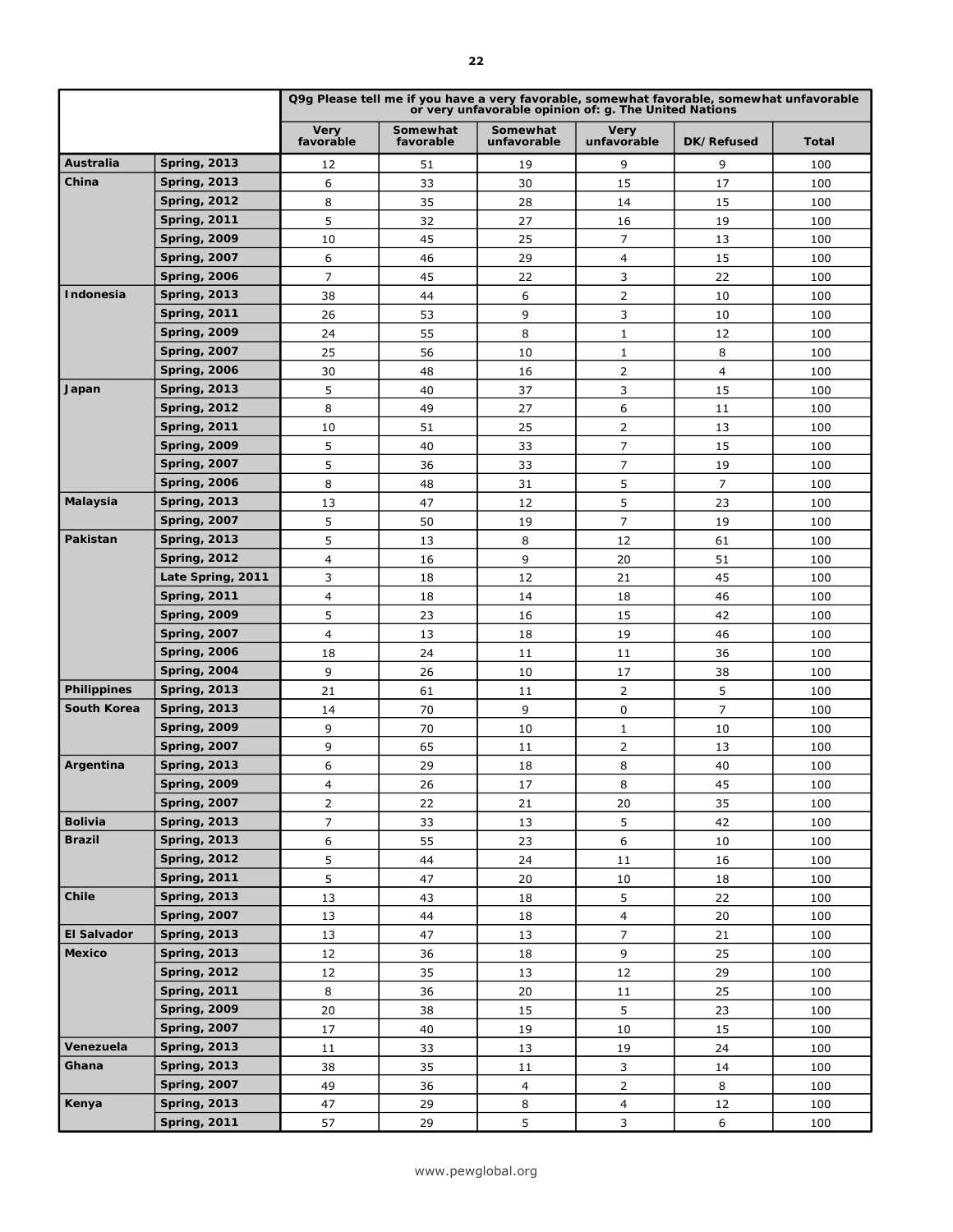|                    |                                            | Q9g Please tell me if you have a very favorable, somewhat favorable, somewhat unfavorable<br>or very unfavorable opinion of: g. The United Nations |                       |                         |                            |                |              |  |
|--------------------|--------------------------------------------|----------------------------------------------------------------------------------------------------------------------------------------------------|-----------------------|-------------------------|----------------------------|----------------|--------------|--|
|                    |                                            | <b>Very</b><br>favorable                                                                                                                           | Somewhat<br>favorable | Somewhat<br>unfavorable | <b>Very</b><br>unfavorable | DK/Refused     | <b>Total</b> |  |
| Australia          | <b>Spring, 2013</b>                        | 12                                                                                                                                                 | 51                    | 19                      | 9                          | 9              | 100          |  |
| China              | <b>Spring, 2013</b>                        | 6                                                                                                                                                  | 33                    | 30                      | 15                         | 17             | 100          |  |
|                    | <b>Spring, 2012</b>                        | 8                                                                                                                                                  | 35                    | 28                      | 14                         | 15             | 100          |  |
|                    | <b>Spring, 2011</b>                        | 5                                                                                                                                                  | 32                    | 27                      | 16                         | 19             | 100          |  |
|                    | <b>Spring, 2009</b>                        | 10                                                                                                                                                 | 45                    | 25                      | 7                          | 13             | 100          |  |
|                    | <b>Spring, 2007</b>                        | 6                                                                                                                                                  | 46                    | 29                      | 4                          | 15             | 100          |  |
|                    | <b>Spring, 2006</b>                        | 7                                                                                                                                                  | 45                    | 22                      | 3                          | 22             | 100          |  |
| Indonesia          | <b>Spring, 2013</b>                        | 38                                                                                                                                                 | 44                    | 6                       | 2                          | 10             | 100          |  |
|                    | <b>Spring, 2011</b>                        | 26                                                                                                                                                 | 53                    | 9                       | 3                          | 10             | 100          |  |
|                    | <b>Spring, 2009</b>                        | 24                                                                                                                                                 | 55                    | 8                       | 1                          | 12             | 100          |  |
|                    | <b>Spring, 2007</b>                        | 25                                                                                                                                                 | 56                    | 10                      | 1                          | 8              | 100          |  |
|                    | <b>Spring, 2006</b>                        | 30                                                                                                                                                 | 48                    | 16                      | 2                          | 4              | 100          |  |
| Japan              | <b>Spring, 2013</b>                        | 5                                                                                                                                                  | 40                    | 37                      | 3                          | 15             | 100          |  |
|                    | <b>Spring, 2012</b>                        | 8                                                                                                                                                  | 49                    | 27                      | 6                          | 11             | 100          |  |
|                    | <b>Spring, 2011</b>                        | 10                                                                                                                                                 | 51                    | 25                      | 2                          | 13             | 100          |  |
|                    | <b>Spring, 2009</b>                        | 5                                                                                                                                                  | 40                    | 33                      | $\overline{7}$             | 15             | 100          |  |
|                    | <b>Spring, 2007</b>                        | 5                                                                                                                                                  | 36                    | 33                      | $\overline{7}$             | 19             | 100          |  |
|                    | <b>Spring, 2006</b>                        | 8                                                                                                                                                  | 48                    | 31                      | 5                          | $\overline{7}$ | 100          |  |
| <b>Malaysia</b>    | <b>Spring, 2013</b>                        | 13                                                                                                                                                 | 47                    | 12                      | 5                          | 23             | 100          |  |
|                    | <b>Spring, 2007</b>                        | 5                                                                                                                                                  | 50                    | 19                      | $\overline{7}$             | 19             | 100          |  |
| Pakistan           | <b>Spring, 2013</b>                        | 5                                                                                                                                                  | 13                    | 8                       | 12                         | 61             | 100          |  |
|                    | <b>Spring, 2012</b>                        | 4                                                                                                                                                  | 16                    | 9                       | 20                         | 51             | 100          |  |
|                    | Late Spring, 2011                          | 3                                                                                                                                                  | 18                    | 12                      | 21                         | 45             | 100          |  |
|                    | <b>Spring, 2011</b>                        | 4                                                                                                                                                  | 18                    | 14                      | 18                         | 46             | 100          |  |
|                    | <b>Spring, 2009</b>                        | 5                                                                                                                                                  | 23                    | 16                      | 15                         | 42             | 100          |  |
|                    | <b>Spring, 2007</b>                        | 4                                                                                                                                                  | 13                    | 18                      | 19                         | 46             | 100          |  |
|                    | <b>Spring, 2006</b>                        | 18                                                                                                                                                 | 24                    | 11                      | 11                         | 36             | 100          |  |
|                    | <b>Spring, 2004</b>                        | 9                                                                                                                                                  | 26                    | 10                      | 17                         | 38             | 100          |  |
| <b>Philippines</b> | <b>Spring, 2013</b>                        | 21                                                                                                                                                 | 61                    | 11                      | $\overline{2}$             | 5              | 100          |  |
| <b>South Korea</b> | <b>Spring, 2013</b>                        | 14                                                                                                                                                 | 70                    | 9                       | 0                          | $\overline{7}$ | 100          |  |
|                    | <b>Spring, 2009</b>                        | 9                                                                                                                                                  | 70                    | 10                      | $\mathbf{1}$               | 10             | 100          |  |
|                    | <b>Spring, 2007</b>                        | 9                                                                                                                                                  | 65                    | 11                      | $\overline{2}$             | 13             | 100          |  |
| Argentina          | <b>Spring, 2013</b>                        | 6                                                                                                                                                  | 29                    | 18                      | 8                          | 40             | 100          |  |
|                    | <b>Spring, 2009</b>                        | 4                                                                                                                                                  | 26                    | 17                      | 8                          | 45             | 100          |  |
|                    | <b>Spring, 2007</b>                        | $\overline{2}$                                                                                                                                     | 22                    | 21                      | 20                         | 35             | 100          |  |
| <b>Bolivia</b>     | <b>Spring, 2013</b>                        | $\overline{7}$                                                                                                                                     | 33                    | 13                      | 5                          | 42             | 100          |  |
| <b>Brazil</b>      | <b>Spring, 2013</b>                        | 6                                                                                                                                                  | 55                    | 23                      | 6                          | 10             | 100          |  |
|                    | <b>Spring, 2012</b>                        | 5                                                                                                                                                  | 44                    | 24                      | 11                         | 16             | 100          |  |
|                    | <b>Spring, 2011</b>                        | 5                                                                                                                                                  | 47                    | 20                      | 10                         | 18             | 100          |  |
| Chile              | <b>Spring, 2013</b>                        | 13                                                                                                                                                 | 43                    | 18                      | 5                          | 22             | 100          |  |
|                    | <b>Spring, 2007</b>                        | 13                                                                                                                                                 | 44                    | 18                      | $\overline{4}$             | 20             | 100          |  |
| <b>El Salvador</b> | <b>Spring, 2013</b>                        | 13                                                                                                                                                 | 47                    | 13                      | 7                          | 21             | 100          |  |
| <b>Mexico</b>      | <b>Spring, 2013</b>                        | 12                                                                                                                                                 | 36                    | 18                      | 9                          | 25             | 100          |  |
|                    | <b>Spring, 2012</b>                        | 12                                                                                                                                                 | 35                    | 13                      | 12                         | 29             | 100          |  |
|                    | <b>Spring, 2011</b>                        | 8                                                                                                                                                  | 36                    | 20                      | 11                         | 25             | 100          |  |
|                    | <b>Spring, 2009</b>                        | 20                                                                                                                                                 | 38                    | 15                      | 5                          | 23             | 100          |  |
|                    | <b>Spring, 2007</b>                        | 17                                                                                                                                                 | 40                    | 19                      | 10                         | 15             | 100          |  |
| Venezuela          | <b>Spring, 2013</b>                        | 11                                                                                                                                                 | 33                    | 13                      | 19                         | 24             | 100          |  |
| Ghana              | <b>Spring, 2013</b>                        | 38                                                                                                                                                 | 35                    | 11                      | 3                          | 14             | 100          |  |
|                    | <b>Spring, 2007</b>                        | 49                                                                                                                                                 | 36                    | 4                       | $\overline{2}$             | 8              | 100          |  |
| Kenya              | <b>Spring, 2013</b><br><b>Spring, 2011</b> | 47<br>57                                                                                                                                           | 29                    | 8<br>5                  | 4<br>$\mathsf{3}$          | 12<br>6        | 100          |  |
|                    |                                            |                                                                                                                                                    | 29                    |                         |                            |                | 100          |  |